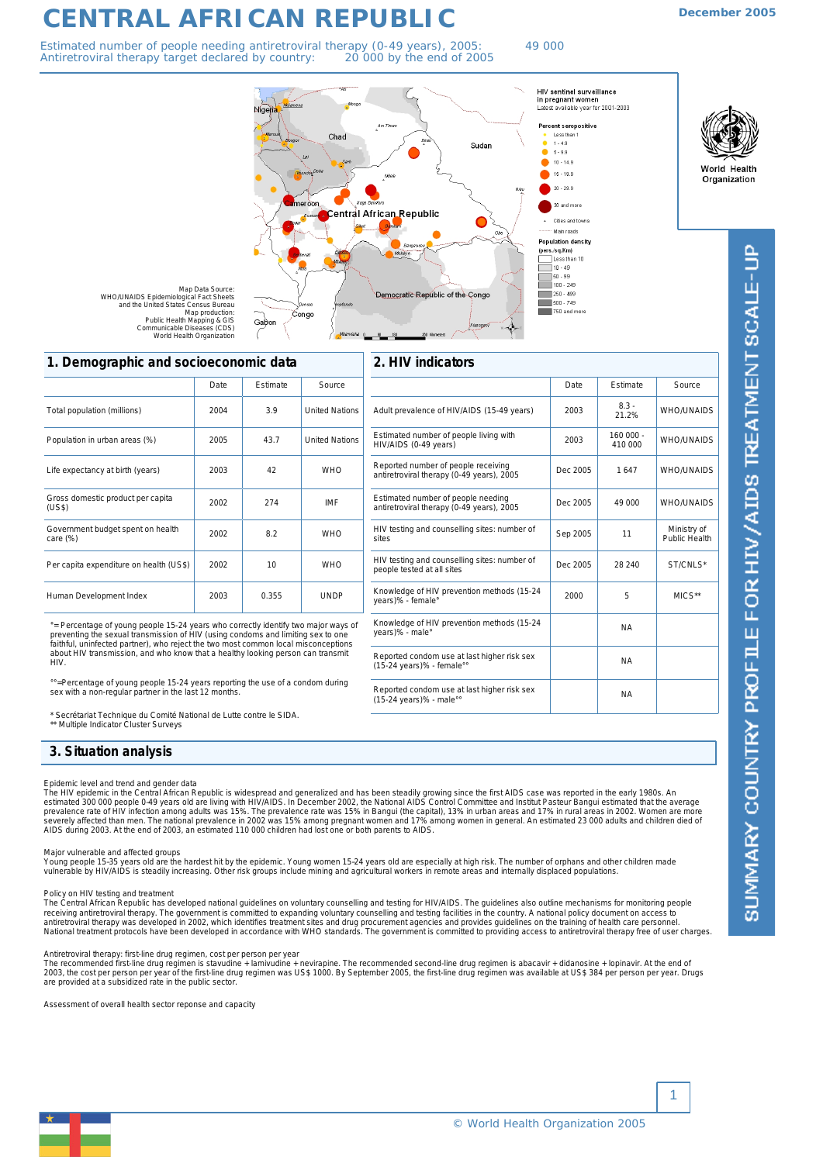# **CENTRAL AFRICAN REPUBLIC**

Estimated number of people needing antiretroviral therapy (0-49 years), 2005: 49 000 Antiretroviral therapy target declared by country: 20 000 by the end of 2005

Chad



 $\frac{1}{2}$  100  $\cdot$  249

 $\frac{1}{250}$  - 499 500 - 749<br>750 and mor **December 2005**

World Health

Organization

Map Data Source:<br>WHO/UNAIDS Epidemiological Fact Sheets<br>and the United States Census Bureau<br>Map production: Congo Gabor Public Health Mapping & GIS Communicable Diseases (CDS) World Health Organization

# **2. HIV indicators**

Democratic Republic of the Congo

| <b>1. Demographic and sociocconomic data</b>  |      |                 |                       |  |  |
|-----------------------------------------------|------|-----------------|-----------------------|--|--|
|                                               | Date | <b>Fstimate</b> | Source                |  |  |
| Total population (millions)                   | 2004 | 3.9             | <b>United Nations</b> |  |  |
| Population in urban areas (%)                 | 2005 | 43.7            | <b>United Nations</b> |  |  |
| Life expectancy at birth (years)              | 2003 | 42              | <b>WHO</b>            |  |  |
| Gross domestic product per capita<br>(US\$)   | 2002 | 274             | <b>IMF</b>            |  |  |
| Government budget spent on health<br>care (%) | 2002 | 8.2             | <b>WHO</b>            |  |  |
| Per capita expenditure on health (US\$)       | 2002 | 10              | <b>WHO</b>            |  |  |
| Human Development Index                       | 2003 | 0.355           | <b>UNDP</b>           |  |  |

**1. Demographic and socioeconomic data**

°= Percentage of young people 15-24 years who correctly identify two major ways of<br>preventing the sexual transmission of HIV (using condoms and limiting sex to one<br>faithful, uninfected partner), who reject the two most com about HIV transmission, and who know that a healthy looking person can transmit H<sub>IV</sub>

=Percentage of young people 15-24 years reporting the use of a condom during sex with a non-regular partner in the last 12 months.

\* Secrétariat Technique du Comité National de Lutte contre le SIDA. \*\* Multiple Indicator Cluster Surveys

| 3. Situation analysis |  |
|-----------------------|--|

# *Epidemic level and trend and gender data*

The HIV epidemic in the Central African Republic is widespread and generalized and has been steadily growing since the first AIDS case was reported in the early 1980s. An<br>estimated 300 000 people 0-49 years old are living

### *Major vulnerable and affected groups*

Young people 15-35 years old are the hardest hit by the epidemic. Young women 15-24 years old are especially at high risk. The number of orphans and other children made<br>vulnerable by HIV/AIDS is steadily increasing. Other

The Central African Republic has developed national guidelines on voluntary counselling and testing for HIV/AIDS. The guidelines also outline mechanisms for monitoring people *Policy on HIV testing and treatment* receiving antiretroviral therapy. The government is committed to expanding voluntary counselling and testing facilities in the country. A national policy document on access to<br>antiretroviral therapy was developed in 2002,

## *Antiretroviral therapy: first-line drug regimen, cost per person per year*

The recommended first-line drug regimen is stavudine + lamivudine + nevirapine. The recommended second-line drug regimen is abacavir + didanosine + lopinavir. At the end of<br>2003, the cost per person per year of the first-

*Assessment of overall health sector reponse and capacity*

Knowledge of HIV prevention methods (15-24 | 2000 | 5 | MICS\*\*<br>years)% - female° HIV testing and counselling sites: number of  $\vert$  Dec 2005  $\vert$  28 240 ST/CNLS' HIV testing and counselling sites: number of  $\Big|\begin{array}{c} \text{Sep } 2005 \\ \text{Sep } 2005 \end{array}\Big|$  11 Public Healt Ministry of<br>Public Health Reported condom use at last higher risk sex Reported condom use at last higher risk sex<br>(15-24 years)% - male°° Reported condom use at last higher risk sex Reported condom use at last higher risk sex<br>(15-24 years)% - female°° Knowledge of HIV prevention methods (15-24 | MA<br>years)% - male° Estimated number of people living with Estimated number of people living with <br>HIV/AIDS (0-49 years) 2003 410 000 WHO/UNAIDS Adult prevalence of HIV/AIDS (15-49 years) 2003 8.3 - 21.2% WHO/UNAIDS Estimated number of people needing<br>antiretroviral therapy (0-49 years), 2005 Dec 2005 | 49 000 NHO/UNAIDS Reported number of people receiving Reported number of people receiving<br>
antiretroviral therapy (0-49 years), 2005 | Dec 2005 | 1647 | WHO/UNAIDS Date Estimate Source



1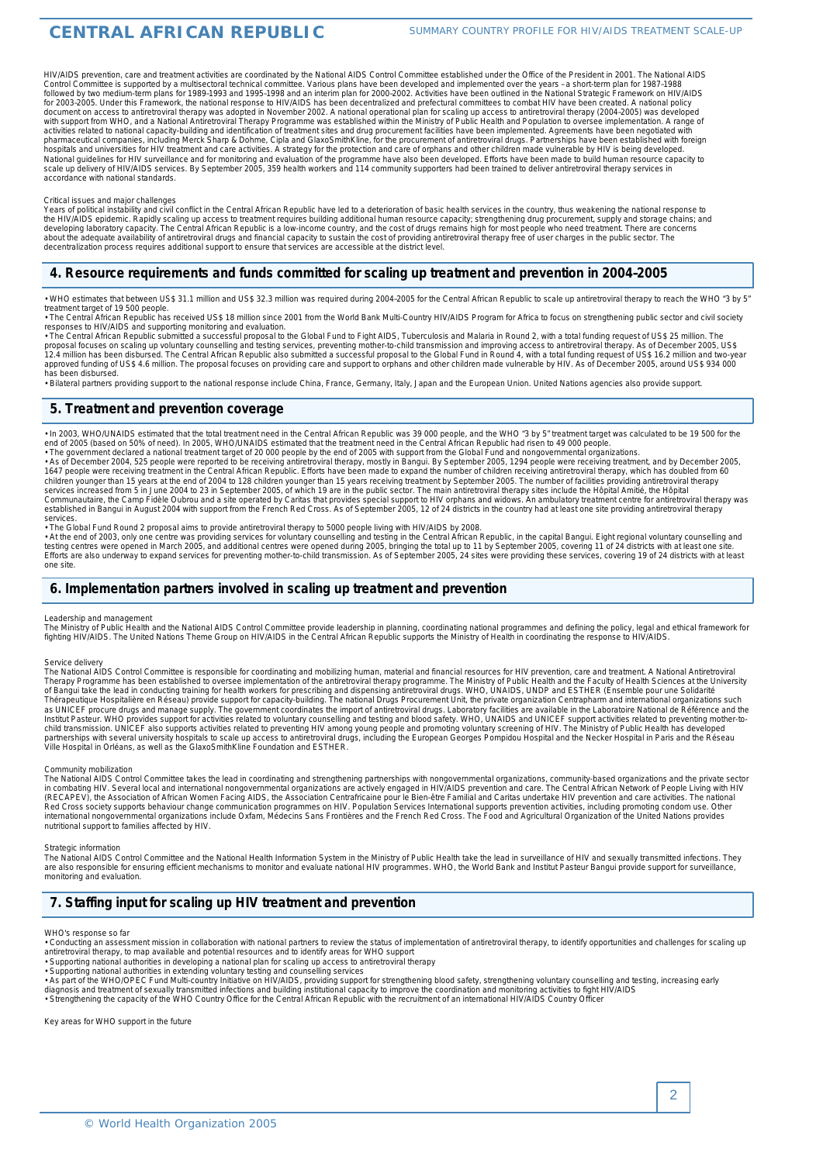HIV/AIDS prevention, care and treatment activities are coordinated by the National AIDS Control Committee established under the Office of the President in 2001. The National AIDS Control Committee is supported by a multisectoral technical committee. Various plans have been developed and implemented over the years - a short-term plan for 1987-1988<br>followed by two medium-term plans for 1989-1993 and for 2003-2005. Under this Framework, the national response to HIV/AIDS has been decentralized and prefectural committees to combat HIV have been created. A national policy<br>document on access to antiretroviral therapy was a hospitals and universities for HIV treatment and care activities. A strategy for the protection and care of orphans and other children made vulnerable by HIV is being developed.<br>National guidelines for HIV surveillance and scale up delivery of HIV/AIDS services. By September 2005, 359 health workers and 114 community supporters had been trained to deliver antiretroviral therapy services in<br>accordance with national standards.

Critical issues and major challenges<br>Years of political instability and civil conflict in the Central African Republic have led to a deterioration of basic health services in the country, thus weakening the national respon the HIV/AIDS epidemic. Rapidly scaling up access to treatment requires building additional human resource capacity; strengthening drug procurement, supply and storage chains; and<br>developing laboratory capacity. The Central about the adequate availability of antiretroviral drugs and financial capacity to sustain the cost of providing antiretroviral therapy free of user charges in the public sector. The<br>decentralization process requires additi

# **4. Resource requirements and funds committed for scaling up treatment and prevention in 2004–2005**

• WHO estimates that between US\$ 31.1 million and US\$ 32.3 million was required during 2004-2005 for the Central African Republic to scale up antiretroviral therapy to reach the WHO \*3 by 5\* treatment target of 19 500 people.

.<br>• The Central African Republic has received US\$ 18 million since 2001 from the World Bank Multi-Country HIV/AIDS Program for Africa to focus on strengthening public sector and civil society<br>responses to HIV/AIDS and supp

• The Central African Republic submitted a successful proposal to the Global Fund to Fight AIDS, Tuberculosis and Malaria in Round 2, with a total funding request of US\$ 25 million. The<br>proposal focuses on scaling up volun has been disbursed.

• Bilateral partners providing support to the national response include China, France, Germany, Italy, Japan and the European Union. United Nations agencies also provide support.

# **5. Treatment and prevention coverage**

· In 2003, WHO/UNAIDS estimated that the total treatment need in the Central African Republic was 39 000 people, and the WHO "3 by 5" treatment target was calculated to be 19 500 for the

end of 2005 (based on 50% of need). In 2005, WHO/UNAIDS estimated that the treatment need in the Central African Republic had risen to 49 000 people.<br>• The government declared a national treatment target of 20 000 people b services.

• The Global Fund Round 2 proposal aims to provide antiretroviral therapy to 5000 people living with HIV/AIDS by 2008.

. At the end of 2003, only one centre was providing services for voluntary counselling and testing in the Central African Republic, in the capital Bangui. Eight regional voluntary counselling and<br>testing centres were opene Efforts are also underway to expand services for preventing mother-to-child transmission. As of September 2005, 24 sites were providing these services, covering 19 of 24 districts with at least one site.

# **6. Implementation partners involved in scaling up treatment and prevention**

### *Leadership and management*

The Ministry of Public Health and the National AIDS Control Committee provide leadership in planning, coordinating national programmes and defining the policy, legal and ethical framework for<br>fighting HIV/AIDS. The United

#### *Service delivery*

The National AIDS Control Committee is responsible for coordinating and mobilizing human, material and financial resources for HIV prevention, care and treatment. A National Antiretroviral<br>Therapy Programme has been establ

### *Community mobilization*

The National AIDS Control Committee takes the lead in coordinating and strengthening partnerships with nongovernmental organizations, community-based organizations and the private sector<br>in combating HIV. Several local and

Strategic information<br>The National AIDS Control Committee and the National Health Information System in the Ministry of Public Health take the lead in surveillance of HIV and sexually transmitted infections. They are also responsible for ensuring efficient mechanisms to monitor and evaluate national HIV programmes. WHO, the World Bank and Institut Pasteur Bangui provide support for surveillance monitoring and evaluation.

# **7. Staffing input for scaling up HIV treatment and prevention**

#### *WHO's response so far*

antiretroviral therapy, to map available and potential resources and to identify areas for WHO support • Supporting national authorities in developing a national plan for scaling up access to antiretroviral therapy

- Supporting national authorities in extending voluntary testing and counselling services<br>- Supporting national authorities in extending voluntary testing and counselling services<br>- As part of the WHO/OPEC Fund Multi-count

diagnosis and treatment of sexually transmitted infections and building institutional capacity to improve the coordination and monitoring activities to fight HIV/AIDS<br>▪ Strengthening the capacity of the WHO Country Office

*Key areas for WHO support in the future*

<sup>•</sup> Conducting an assessment mission in collaboration with national partners to review the status of implementation of antiretroviral therapy, to identify opportunities and challenges for scaling up